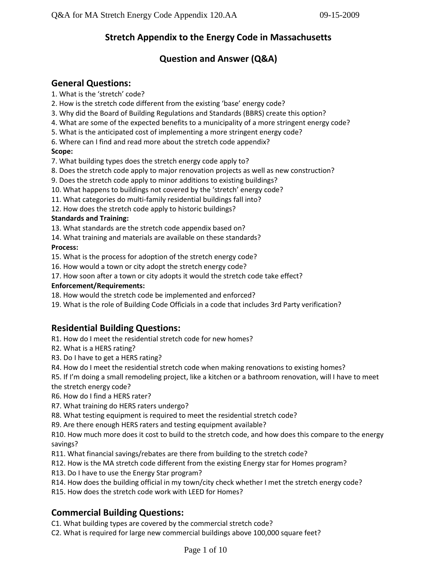# **Stretch Appendix to the Energy Code in Massachusetts**

# **Question and Answer (Q&A)**

# **General Questions:**

- 1. What is the 'stretch' code?
- 2. How is the stretch code different from the existing 'base' energy code?
- 3. Why did the Board of Building Regulations and Standards (BBRS) create this option?
- 4. What are some of the expected benefits to a municipality of a more stringent energy code?
- 5. What is the anticipated cost of implementing a more stringent energy code?
- 6. Where can I find and read more about the stretch code appendix?

## **Scope:**

- 7. What building types does the stretch energy code apply to?
- 8. Does the stretch code apply to major renovation projects as well as new construction?
- 9. Does the stretch code apply to minor additions to existing buildings?
- 10. What happens to buildings not covered by the 'stretch' energy code?
- 11. What categories do multi-family residential buildings fall into?
- 12. How does the stretch code apply to historic buildings?

## **Standards and Training:**

13. What standards are the stretch code appendix based on?

14. What training and materials are available on these standards?

## **Process:**

15. What is the process for adoption of the stretch energy code?

- 16. How would a town or city adopt the stretch energy code?
- 17. How soon after a town or city adopts it would the stretch code take effect?

## **Enforcement/Requirements:**

18. How would the stretch code be implemented and enforced?

19. What is the role of Building Code Officials in a code that includes 3rd Party verification?

# **Residential Building Questions:**

- R1. How do I meet the residential stretch code for new homes?
- R2. What is a HERS rating?
- R3. Do I have to get a HERS rating?
- R4. How do I meet the residential stretch code when making renovations to existing homes?
- R5. If I'm doing a small remodeling project, like a kitchen or a bathroom renovation, will I have to meet
- the stretch energy code?
- R6. How do I find a HERS rater?
- R7. What training do HERS raters undergo?
- R8. What testing equipment is required to meet the residential stretch code?
- R9. Are there enough HERS raters and testing equipment available?

R10. How much more does it cost to build to the stretch code, and how does this compare to the energy savings?

- R11. What financial savings/rebates are there from building to the stretch code?
- R12. How is the MA stretch code different from the existing Energy star for Homes program?
- R13. Do I have to use the Energy Star program?
- R14. How does the building official in my town/city check whether I met the stretch energy code?
- R15. How does the stretch code work with LEED for Homes?

# **Commercial Building Questions:**

C1. What building types are covered by the commercial stretch code?

C2. What is required for large new commercial buildings above 100,000 square feet?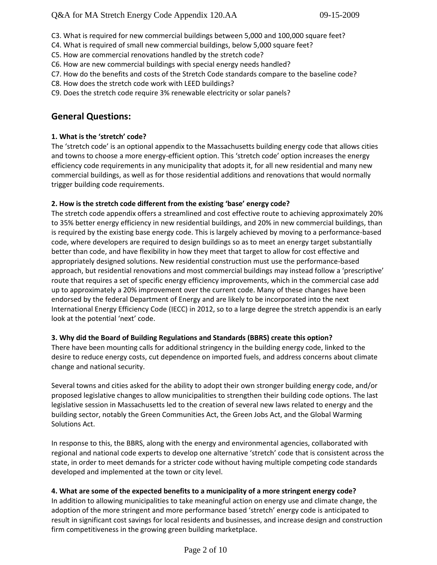- C3. What is required for new commercial buildings between 5,000 and 100,000 square feet?
- C4. What is required of small new commercial buildings, below 5,000 square feet?
- C5. How are commercial renovations handled by the stretch code?
- C6. How are new commercial buildings with special energy needs handled?
- C7. How do the benefits and costs of the Stretch Code standards compare to the baseline code?
- C8. How does the stretch code work with LEED buildings?
- C9. Does the stretch code require 3% renewable electricity or solar panels?

# **General Questions:**

## **1. What is the 'stretch' code?**

The 'stretch code' is an optional appendix to the Massachusetts building energy code that allows cities and towns to choose a more energy-efficient option. This 'stretch code' option increases the energy efficiency code requirements in any municipality that adopts it, for all new residential and many new commercial buildings, as well as for those residential additions and renovations that would normally trigger building code requirements.

## **2. How is the stretch code different from the existing 'base' energy code?**

The stretch code appendix offers a streamlined and cost effective route to achieving approximately 20% to 35% better energy efficiency in new residential buildings, and 20% in new commercial buildings, than is required by the existing base energy code. This is largely achieved by moving to a performance-based code, where developers are required to design buildings so as to meet an energy target substantially better than code, and have flexibility in how they meet that target to allow for cost effective and appropriately designed solutions. New residential construction must use the performance-based approach, but residential renovations and most commercial buildings may instead follow a 'prescriptive' route that requires a set of specific energy efficiency improvements, which in the commercial case add up to approximately a 20% improvement over the current code. Many of these changes have been endorsed by the federal Department of Energy and are likely to be incorporated into the next International Energy Efficiency Code (IECC) in 2012, so to a large degree the stretch appendix is an early look at the potential 'next' code.

## **3. Why did the Board of Building Regulations and Standards (BBRS) create this option?**

There have been mounting calls for additional stringency in the building energy code, linked to the desire to reduce energy costs, cut dependence on imported fuels, and address concerns about climate change and national security.

Several towns and cities asked for the ability to adopt their own stronger building energy code, and/or proposed legislative changes to allow municipalities to strengthen their building code options. The last legislative session in Massachusetts led to the creation of several new laws related to energy and the building sector, notably the Green Communities Act, the Green Jobs Act, and the Global Warming Solutions Act.

In response to this, the BBRS, along with the energy and environmental agencies, collaborated with regional and national code experts to develop one alternative 'stretch' code that is consistent across the state, in order to meet demands for a stricter code without having multiple competing code standards developed and implemented at the town or city level.

## **4. What are some of the expected benefits to a municipality of a more stringent energy code?**

In addition to allowing municipalities to take meaningful action on energy use and climate change, the adoption of the more stringent and more performance based 'stretch' energy code is anticipated to result in significant cost savings for local residents and businesses, and increase design and construction firm competitiveness in the growing green building marketplace.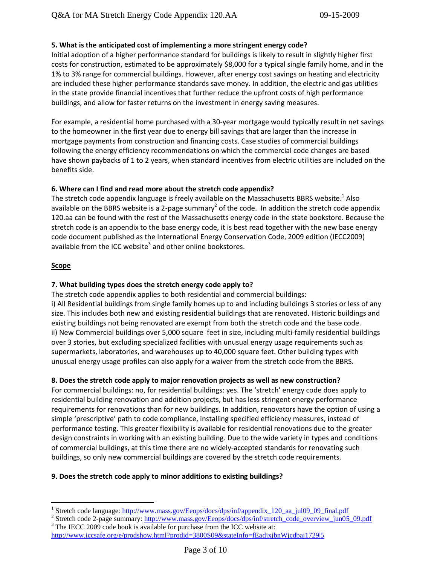## **5. What is the anticipated cost of implementing a more stringent energy code?**

Initial adoption of a higher performance standard for buildings is likely to result in slightly higher first costs for construction, estimated to be approximately \$8,000 for a typical single family home, and in the 1% to 3% range for commercial buildings. However, after energy cost savings on heating and electricity are included these higher performance standards save money. In addition, the electric and gas utilities in the state provide financial incentives that further reduce the upfront costs of high performance buildings, and allow for faster returns on the investment in energy saving measures.

For example, a residential home purchased with a 30-year mortgage would typically result in net savings to the homeowner in the first year due to energy bill savings that are larger than the increase in mortgage payments from construction and financing costs. Case studies of commercial buildings following the energy efficiency recommendations on which the commercial code changes are based have shown paybacks of 1 to 2 years, when standard incentives from electric utilities are included on the benefits side.

#### **6. Where can I find and read more about the stretch code appendix?**

The stretch code appendix language is freely available on the Massachusetts BBRS website.<sup>1</sup> Also available on the BBRS website is a 2-page summary<sup>2</sup> of the code. In addition the stretch code appendix 120.aa can be found with the rest of the Massachusetts energy code in the state bookstore. Because the stretch code is an appendix to the base energy code, it is best read together with the new base energy code document published as the International Energy Conservation Code, 2009 edition (IECC2009) available from the ICC website<sup>3</sup> and other online bookstores.

#### **Scope**

 $\overline{a}$ 

#### **7. What building types does the stretch energy code apply to?**

The stretch code appendix applies to both residential and commercial buildings: i) All Residential buildings from single family homes up to and including buildings 3 stories or less of any size. This includes both new and existing residential buildings that are renovated. Historic buildings and existing buildings not being renovated are exempt from both the stretch code and the base code. ii) New Commercial buildings over 5,000 square feet in size, including multi-family residential buildings over 3 stories, but excluding specialized facilities with unusual energy usage requirements such as supermarkets, laboratories, and warehouses up to 40,000 square feet. Other building types with unusual energy usage profiles can also apply for a waiver from the stretch code from the BBRS.

#### **8. Does the stretch code apply to major renovation projects as well as new construction?**

For commercial buildings: no, for residential buildings: yes. The 'stretch' energy code does apply to residential building renovation and addition projects, but has less stringent energy performance requirements for renovations than for new buildings. In addition, renovators have the option of using a simple 'prescriptive' path to code compliance, installing specified efficiency measures, instead of performance testing. This greater flexibility is available for residential renovations due to the greater design constraints in working with an existing building. Due to the wide variety in types and conditions of commercial buildings, at this time there are no widely-accepted standards for renovating such buildings, so only new commercial buildings are covered by the stretch code requirements.

#### **9. Does the stretch code apply to minor additions to existing buildings?**

<sup>&</sup>lt;sup>1</sup> Stretch code language: http://www.mass.gov/Eeops/docs/dps/inf/appendix 120 aa jul09 09 final.pdf

<sup>&</sup>lt;sup>2</sup> Stretch code 2-page summary: [http://www.mass.gov/Eeops/docs/dps/inf/stretch\\_code\\_overview\\_jun05\\_09.pdf](http://www.mass.gov/Eeops/docs/dps/inf/stretch_code_overview_jun05_09.pdf)

<sup>&</sup>lt;sup>3</sup> The IECC 2009 code book is available for purchase from the ICC website at: <http://www.iccsafe.org/e/prodshow.html?prodid=3800S09&stateInfo=fEadjxjbnWjcdbaj1729|5>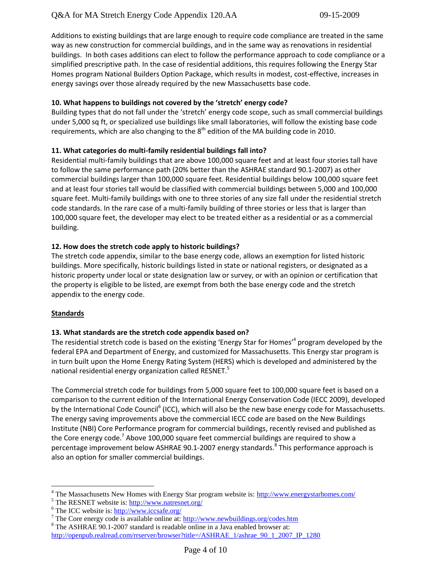Additions to existing buildings that are large enough to require code compliance are treated in the same way as new construction for commercial buildings, and in the same way as renovations in residential buildings. In both cases additions can elect to follow the performance approach to code compliance or a simplified prescriptive path. In the case of residential additions, this requires following the Energy Star Homes program National Builders Option Package, which results in modest, cost-effective, increases in energy savings over those already required by the new Massachusetts base code.

## **10. What happens to buildings not covered by the 'stretch' energy code?**

Building types that do not fall under the 'stretch' energy code scope, such as small commercial buildings under 5,000 sq ft, or specialized use buildings like small laboratories, will follow the existing base code requirements, which are also changing to the  $8<sup>th</sup>$  edition of the MA building code in 2010.

## **11. What categories do multi-family residential buildings fall into?**

Residential multi-family buildings that are above 100,000 square feet and at least four stories tall have to follow the same performance path (20% better than the ASHRAE standard 90.1-2007) as other commercial buildings larger than 100,000 square feet. Residential buildings below 100,000 square feet and at least four stories tall would be classified with commercial buildings between 5,000 and 100,000 square feet. Multi-family buildings with one to three stories of any size fall under the residential stretch code standards. In the rare case of a multi-family building of three stories or less that is larger than 100,000 square feet, the developer may elect to be treated either as a residential or as a commercial building.

## **12. How does the stretch code apply to historic buildings?**

The stretch code appendix, similar to the base energy code, allows an exemption for listed historic buildings. More specifically, historic buildings listed in state or national registers, or designated as a historic property under local or state designation law or survey, or with an opinion or certification that the property is eligible to be listed, are exempt from both the base energy code and the stretch appendix to the energy code.

## **Standards**

 $\overline{a}$ 

## **13. What standards are the stretch code appendix based on?**

The residential stretch code is based on the existing 'Energy Star for Homes'<sup>4</sup> program developed by the federal EPA and Department of Energy, and customized for Massachusetts. This Energy star program is in turn built upon the Home Energy Rating System (HERS) which is developed and administered by the national residential energy organization called RESNET.<sup>5</sup>

The Commercial stretch code for buildings from 5,000 square feet to 100,000 square feet is based on a comparison to the current edition of the International Energy Conservation Code (IECC 2009), developed by the International Code Council<sup>6</sup> (ICC), which will also be the new base energy code for Massachusetts. The energy saving improvements above the commercial IECC code are based on the New Buildings Institute (NBI) Core Performance program for commercial buildings, recently revised and published as the Core energy code.<sup>7</sup> Above 100,000 square feet commercial buildings are required to show a percentage improvement below ASHRAE 90.1-2007 energy standards.<sup>8</sup> This performance approach is also an option for smaller commercial buildings.

<sup>&</sup>lt;sup>4</sup> The Massachusetts New Homes with Energy Star program website is:<http://www.energystarhomes.com/>

<sup>&</sup>lt;sup>5</sup> The RESNET website is:<http://www.natresnet.org/>

 $6$  The ICC website is:  $\frac{http://www.icosafe.org/}{http://www.icosafe.org/})$ 

<sup>&</sup>lt;sup>7</sup> The Core energy code is available online at:  $\frac{http://www.newbuilding.org/codes.htm}{http://www.newbuilding.org/codes.htm}$ 

<sup>8</sup> The ASHRAE 90.1-2007 standard is readable online in a Java enabled browser at: [http://openpub.realread.com/rrserver/browser?title=/ASHRAE\\_1/ashrae\\_90\\_1\\_2007\\_IP\\_1280](http://openpub.realread.com/rrserver/browser?title=/ASHRAE_1/ashrae_90_1_2007_IP_1280)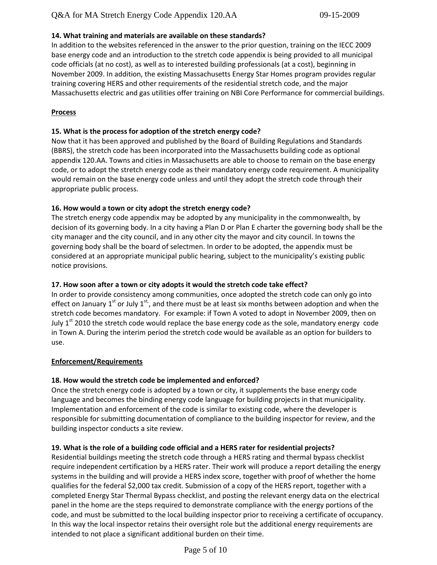## **14. What training and materials are available on these standards?**

In addition to the websites referenced in the answer to the prior question, training on the IECC 2009 base energy code and an introduction to the stretch code appendix is being provided to all municipal code officials (at no cost), as well as to interested building professionals (at a cost), beginning in November 2009. In addition, the existing Massachusetts Energy Star Homes program provides regular training covering HERS and other requirements of the residential stretch code, and the major Massachusetts electric and gas utilities offer training on NBI Core Performance for commercial buildings.

#### **Process**

## **15. What is the process for adoption of the stretch energy code?**

Now that it has been approved and published by the Board of Building Regulations and Standards (BBRS), the stretch code has been incorporated into the Massachusetts building code as optional appendix 120.AA. Towns and cities in Massachusetts are able to choose to remain on the base energy code, or to adopt the stretch energy code as their mandatory energy code requirement. A municipality would remain on the base energy code unless and until they adopt the stretch code through their appropriate public process.

### **16. How would a town or city adopt the stretch energy code?**

The stretch energy code appendix may be adopted by any municipality in the commonwealth, by decision of its governing body. In a city having a Plan D or Plan E charter the governing body shall be the city manager and the city council, and in any other city the mayor and city council. In towns the governing body shall be the board of selectmen. In order to be adopted, the appendix must be considered at an appropriate municipal public hearing, subject to the municipality's existing public notice provisions.

## **17. How soon after a town or city adopts it would the stretch code take effect?**

In order to provide consistency among communities, once adopted the stretch code can only go into effect on January 1<sup>st</sup> or July 1<sup>st</sup>, and there must be at least six months between adoption and when the stretch code becomes mandatory. For example: if Town A voted to adopt in November 2009, then on July  $1<sup>st</sup>$  2010 the stretch code would replace the base energy code as the sole, mandatory energy code in Town A. During the interim period the stretch code would be available as an option for builders to use.

#### **Enforcement/Requirements**

## **18. How would the stretch code be implemented and enforced?**

Once the stretch energy code is adopted by a town or city, it supplements the base energy code language and becomes the binding energy code language for building projects in that municipality. Implementation and enforcement of the code is similar to existing code, where the developer is responsible for submitting documentation of compliance to the building inspector for review, and the building inspector conducts a site review.

#### **19. What is the role of a building code official and a HERS rater for residential projects?**

Residential buildings meeting the stretch code through a HERS rating and thermal bypass checklist require independent certification by a HERS rater. Their work will produce a report detailing the energy systems in the building and will provide a HERS index score, together with proof of whether the home qualifies for the federal \$2,000 tax credit. Submission of a copy of the HERS report, together with a completed Energy Star Thermal Bypass checklist, and posting the relevant energy data on the electrical panel in the home are the steps required to demonstrate compliance with the energy portions of the code, and must be submitted to the local building inspector prior to receiving a certificate of occupancy. In this way the local inspector retains their oversight role but the additional energy requirements are intended to not place a significant additional burden on their time.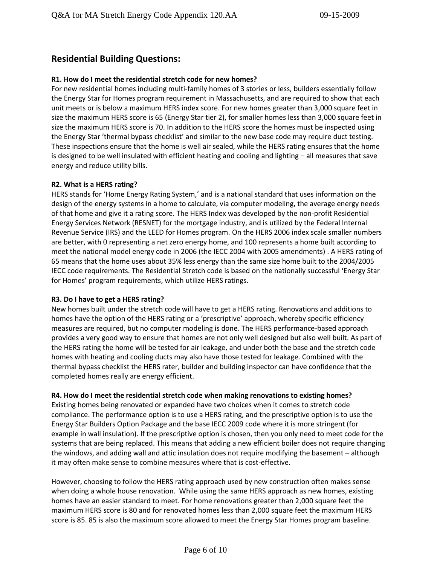# **Residential Building Questions:**

## **R1. How do I meet the residential stretch code for new homes?**

For new residential homes including multi-family homes of 3 stories or less, builders essentially follow the Energy Star for Homes program requirement in Massachusetts, and are required to show that each unit meets or is below a maximum HERS index score. For new homes greater than 3,000 square feet in size the maximum HERS score is 65 (Energy Star tier 2), for smaller homes less than 3,000 square feet in size the maximum HERS score is 70. In addition to the HERS score the homes must be inspected using the Energy Star 'thermal bypass checklist' and similar to the new base code may require duct testing. These inspections ensure that the home is well air sealed, while the HERS rating ensures that the home is designed to be well insulated with efficient heating and cooling and lighting – all measures that save energy and reduce utility bills.

### **R2. What is a HERS rating?**

HERS stands for 'Home Energy Rating System,' and is a national standard that uses information on the design of the energy systems in a home to calculate, via computer modeling, the average energy needs of that home and give it a rating score. The HERS Index was developed by the non-profit Residential Energy Services Network (RESNET) for the mortgage industry, and is utilized by the Federal Internal Revenue Service (IRS) and the LEED for Homes program. On the HERS 2006 index scale smaller numbers are better, with 0 representing a net zero energy home, and 100 represents a home built according to meet the national model energy code in 2006 (the IECC 2004 with 2005 amendments) . A HERS rating of 65 means that the home uses about 35% less energy than the same size home built to the 2004/2005 IECC code requirements. The Residential Stretch code is based on the nationally successful 'Energy Star for Homes' program requirements, which utilize HERS ratings.

#### **R3. Do I have to get a HERS rating?**

New homes built under the stretch code will have to get a HERS rating. Renovations and additions to homes have the option of the HERS rating or a 'prescriptive' approach, whereby specific efficiency measures are required, but no computer modeling is done. The HERS performance-based approach provides a very good way to ensure that homes are not only well designed but also well built. As part of the HERS rating the home will be tested for air leakage, and under both the base and the stretch code homes with heating and cooling ducts may also have those tested for leakage. Combined with the thermal bypass checklist the HERS rater, builder and building inspector can have confidence that the completed homes really are energy efficient.

#### **R4. How do I meet the residential stretch code when making renovations to existing homes?**

Existing homes being renovated or expanded have two choices when it comes to stretch code compliance. The performance option is to use a HERS rating, and the prescriptive option is to use the Energy Star Builders Option Package and the base IECC 2009 code where it is more stringent (for example in wall insulation). If the prescriptive option is chosen, then you only need to meet code for the systems that are being replaced. This means that adding a new efficient boiler does not require changing the windows, and adding wall and attic insulation does not require modifying the basement – although it may often make sense to combine measures where that is cost-effective.

However, choosing to follow the HERS rating approach used by new construction often makes sense when doing a whole house renovation. While using the same HERS approach as new homes, existing homes have an easier standard to meet. For home renovations greater than 2,000 square feet the maximum HERS score is 80 and for renovated homes less than 2,000 square feet the maximum HERS score is 85. 85 is also the maximum score allowed to meet the Energy Star Homes program baseline.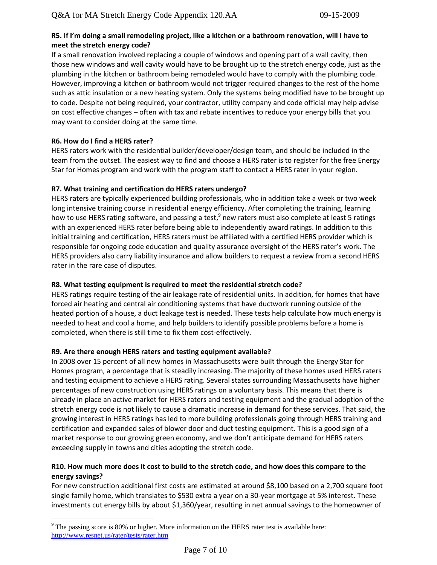#### **R5. If I'm doing a small remodeling project, like a kitchen or a bathroom renovation, will I have to meet the stretch energy code?**

If a small renovation involved replacing a couple of windows and opening part of a wall cavity, then those new windows and wall cavity would have to be brought up to the stretch energy code, just as the plumbing in the kitchen or bathroom being remodeled would have to comply with the plumbing code. However, improving a kitchen or bathroom would not trigger required changes to the rest of the home such as attic insulation or a new heating system. Only the systems being modified have to be brought up to code. Despite not being required, your contractor, utility company and code official may help advise on cost effective changes – often with tax and rebate incentives to reduce your energy bills that you may want to consider doing at the same time.

## **R6. How do I find a HERS rater?**

 $\overline{a}$ 

HERS raters work with the residential builder/developer/design team, and should be included in the team from the outset. The easiest way to find and choose a HERS rater is to register for the free Energy Star for Homes program and work with the program staff to contact a HERS rater in your region.

### **R7. What training and certification do HERS raters undergo?**

HERS raters are typically experienced building professionals, who in addition take a week or two week long intensive training course in residential energy efficiency. After completing the training, learning how to use HERS rating software, and passing a test,<sup>9</sup> new raters must also complete at least 5 ratings with an experienced HERS rater before being able to independently award ratings. In addition to this initial training and certification, HERS raters must be affiliated with a certified HERS provider which is responsible for ongoing code education and quality assurance oversight of the HERS rater's work. The HERS providers also carry liability insurance and allow builders to request a review from a second HERS rater in the rare case of disputes.

## **R8. What testing equipment is required to meet the residential stretch code?**

HERS ratings require testing of the air leakage rate of residential units. In addition, for homes that have forced air heating and central air conditioning systems that have ductwork running outside of the heated portion of a house, a duct leakage test is needed. These tests help calculate how much energy is needed to heat and cool a home, and help builders to identify possible problems before a home is completed, when there is still time to fix them cost-effectively.

## **R9. Are there enough HERS raters and testing equipment available?**

In 2008 over 15 percent of all new homes in Massachusetts were built through the Energy Star for Homes program, a percentage that is steadily increasing. The majority of these homes used HERS raters and testing equipment to achieve a HERS rating. Several states surrounding Massachusetts have higher percentages of new construction using HERS ratings on a voluntary basis. This means that there is already in place an active market for HERS raters and testing equipment and the gradual adoption of the stretch energy code is not likely to cause a dramatic increase in demand for these services. That said, the growing interest in HERS ratings has led to more building professionals going through HERS training and certification and expanded sales of blower door and duct testing equipment. This is a good sign of a market response to our growing green economy, and we don't anticipate demand for HERS raters exceeding supply in towns and cities adopting the stretch code.

## **R10. How much more does it cost to build to the stretch code, and how does this compare to the energy savings?**

For new construction additional first costs are estimated at around \$8,100 based on a 2,700 square foot single family home, which translates to \$530 extra a year on a 30-year mortgage at 5% interest. These investments cut energy bills by about \$1,360/year, resulting in net annual savings to the homeowner of

 $9$  The passing score is 80% or higher. More information on the HERS rater test is available here: <http://www.resnet.us/rater/tests/rater.htm>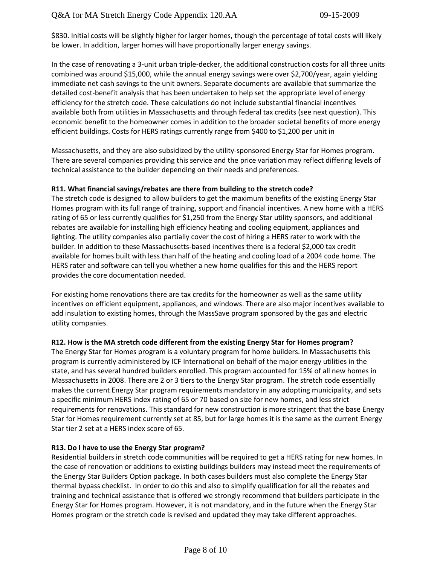\$830. Initial costs will be slightly higher for larger homes, though the percentage of total costs will likely be lower. In addition, larger homes will have proportionally larger energy savings.

In the case of renovating a 3-unit urban triple-decker, the additional construction costs for all three units combined was around \$15,000, while the annual energy savings were over \$2,700/year, again yielding immediate net cash savings to the unit owners. Separate documents are available that summarize the detailed cost-benefit analysis that has been undertaken to help set the appropriate level of energy efficiency for the stretch code. These calculations do not include substantial financial incentives available both from utilities in Massachusetts and through federal tax credits (see next question). This economic benefit to the homeowner comes in addition to the broader societal benefits of more energy efficient buildings. Costs for HERS ratings currently range from \$400 to \$1,200 per unit in

Massachusetts, and they are also subsidized by the utility-sponsored Energy Star for Homes program. There are several companies providing this service and the price variation may reflect differing levels of technical assistance to the builder depending on their needs and preferences.

#### **R11. What financial savings/rebates are there from building to the stretch code?**

The stretch code is designed to allow builders to get the maximum benefits of the existing Energy Star Homes program with its full range of training, support and financial incentives. A new home with a HERS rating of 65 or less currently qualifies for \$1,250 from the Energy Star utility sponsors, and additional rebates are available for installing high efficiency heating and cooling equipment, appliances and lighting. The utility companies also partially cover the cost of hiring a HERS rater to work with the builder. In addition to these Massachusetts-based incentives there is a federal \$2,000 tax credit available for homes built with less than half of the heating and cooling load of a 2004 code home. The HERS rater and software can tell you whether a new home qualifies for this and the HERS report provides the core documentation needed.

For existing home renovations there are tax credits for the homeowner as well as the same utility incentives on efficient equipment, appliances, and windows. There are also major incentives available to add insulation to existing homes, through the MassSave program sponsored by the gas and electric utility companies.

#### **R12. How is the MA stretch code different from the existing Energy Star for Homes program?**

The Energy Star for Homes program is a voluntary program for home builders. In Massachusetts this program is currently administered by ICF International on behalf of the major energy utilities in the state, and has several hundred builders enrolled. This program accounted for 15% of all new homes in Massachusetts in 2008. There are 2 or 3 tiers to the Energy Star program. The stretch code essentially makes the current Energy Star program requirements mandatory in any adopting municipality, and sets a specific minimum HERS index rating of 65 or 70 based on size for new homes, and less strict requirements for renovations. This standard for new construction is more stringent that the base Energy Star for Homes requirement currently set at 85, but for large homes it is the same as the current Energy Star tier 2 set at a HERS index score of 65.

## **R13. Do I have to use the Energy Star program?**

Residential builders in stretch code communities will be required to get a HERS rating for new homes. In the case of renovation or additions to existing buildings builders may instead meet the requirements of the Energy Star Builders Option package. In both cases builders must also complete the Energy Star thermal bypass checklist. In order to do this and also to simplify qualification for all the rebates and training and technical assistance that is offered we strongly recommend that builders participate in the Energy Star for Homes program. However, it is not mandatory, and in the future when the Energy Star Homes program or the stretch code is revised and updated they may take different approaches.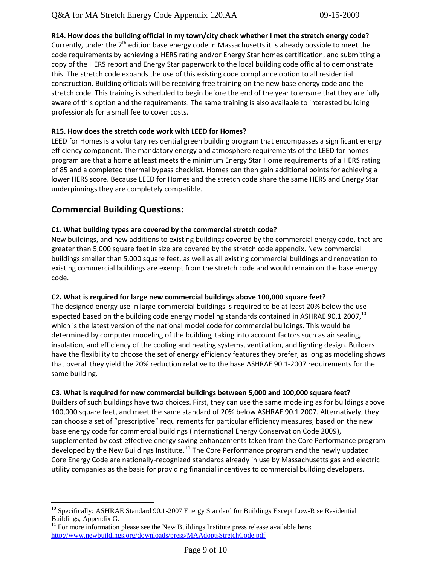**R14. How does the building official in my town/city check whether I met the stretch energy code?**  Currently, under the  $7<sup>th</sup>$  edition base energy code in Massachusetts it is already possible to meet the code requirements by achieving a HERS rating and/or Energy Star homes certification, and submitting a copy of the HERS report and Energy Star paperwork to the local building code official to demonstrate this. The stretch code expands the use of this existing code compliance option to all residential construction. Building officials will be receiving free training on the new base energy code and the stretch code. This training is scheduled to begin before the end of the year to ensure that they are fully aware of this option and the requirements. The same training is also available to interested building professionals for a small fee to cover costs.

## **R15. How does the stretch code work with LEED for Homes?**

LEED for Homes is a voluntary residential green building program that encompasses a significant energy efficiency component. The mandatory energy and atmosphere requirements of the LEED for homes program are that a home at least meets the minimum Energy Star Home requirements of a HERS rating of 85 and a completed thermal bypass checklist. Homes can then gain additional points for achieving a lower HERS score. Because LEED for Homes and the stretch code share the same HERS and Energy Star underpinnings they are completely compatible.

## **Commercial Building Questions:**

 $\overline{a}$ 

### **C1. What building types are covered by the commercial stretch code?**

New buildings, and new additions to existing buildings covered by the commercial energy code, that are greater than 5,000 square feet in size are covered by the stretch code appendix. New commercial buildings smaller than 5,000 square feet, as well as all existing commercial buildings and renovation to existing commercial buildings are exempt from the stretch code and would remain on the base energy code.

#### **C2. What is required for large new commercial buildings above 100,000 square feet?**

The designed energy use in large commercial buildings is required to be at least 20% below the use expected based on the building code energy modeling standards contained in ASHRAE 90.1 2007,<sup>10</sup> which is the latest version of the national model code for commercial buildings. This would be determined by computer modeling of the building, taking into account factors such as air sealing, insulation, and efficiency of the cooling and heating systems, ventilation, and lighting design. Builders have the flexibility to choose the set of energy efficiency features they prefer, as long as modeling shows that overall they yield the 20% reduction relative to the base ASHRAE 90.1-2007 requirements for the same building.

#### **C3. What is required for new commercial buildings between 5,000 and 100,000 square feet?**

Builders of such buildings have two choices. First, they can use the same modeling as for buildings above 100,000 square feet, and meet the same standard of 20% below ASHRAE 90.1 2007. Alternatively, they can choose a set of "prescriptive" requirements for particular efficiency measures, based on the new base energy code for commercial buildings (International Energy Conservation Code 2009), supplemented by cost-effective energy saving enhancements taken from the Core Performance program developed by the New Buildings Institute.  $^{11}$  The Core Performance program and the newly updated Core Energy Code are nationally-recognized standards already in use by Massachusetts gas and electric utility companies as the basis for providing financial incentives to commercial building developers.

<sup>&</sup>lt;sup>10</sup> Specifically: ASHRAE Standard 90.1-2007 Energy Standard for Buildings Except Low-Rise Residential Buildings, Appendix G.

 $11$  For more information please see the New Buildings Institute press release available here: <http://www.newbuildings.org/downloads/press/MAAdoptsStretchCode.pdf>